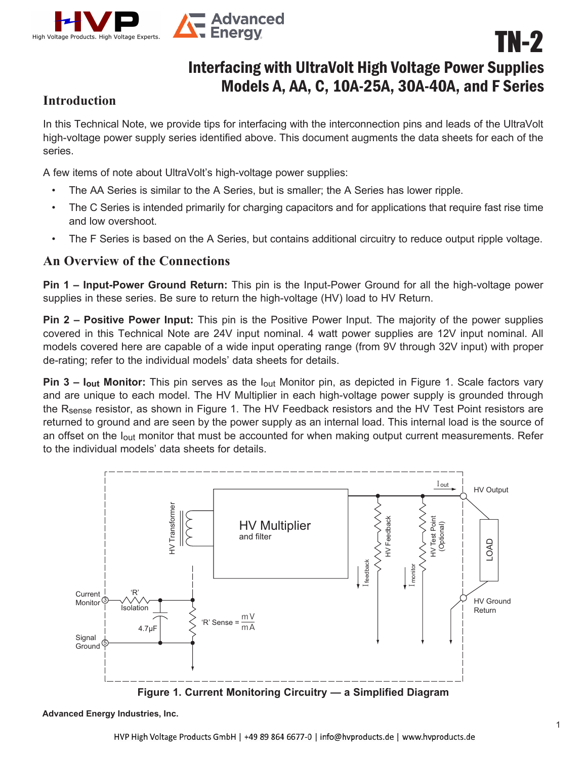

## Interfacing with UltraVolt High Voltage Power Supplies Models A, AA, C, 10A-25A, 30A-40A, and F Series

TN-2

## **Introduction**

In this Technical Note, we provide tips for interfacing with the interconnection pins and leads of the UltraVolt high-voltage power supply series identified above. This document augments the data sheets for each of the series.

A few items of note about UltraVolt's high-voltage power supplies:

- The AA Series is similar to the A Series, but is smaller; the A Series has lower ripple.
- The C Series is intended primarily for charging capacitors and for applications that require fast rise time and low overshoot.
- The F Series is based on the A Series, but contains additional circuitry to reduce output ripple voltage.

## **An Overview of the Connections**

**Pin 1 – Input-Power Ground Return:** This pin is the Input-Power Ground for all the high-voltage power supplies in these series. Be sure to return the high-voltage (HV) load to HV Return.

**Pin 2 – Positive Power Input:** This pin is the Positive Power Input. The majority of the power supplies covered in this Technical Note are 24V input nominal. 4 watt power supplies are 12V input nominal. All models covered here are capable of a wide input operating range (from 9V through 32V input) with proper de-rating; refer to the individual models' data sheets for details.

**Pin 3 – Iout Monitor:** This pin serves as the Iout Monitor pin, as depicted in Figure 1. Scale factors vary and are unique to each model. The HV Multiplier in each high-voltage power supply is grounded through the R<sub>sense</sub> resistor, as shown in Figure 1. The HV Feedback resistors and the HV Test Point resistors are returned to ground and are seen by the power supply as an internal load. This internal load is the source of an offset on the l<sub>out</sub> monitor that must be accounted for when making output current measurements. Refer to the individual models' data sheets for details.



**Advanced Energy Industries, Inc.**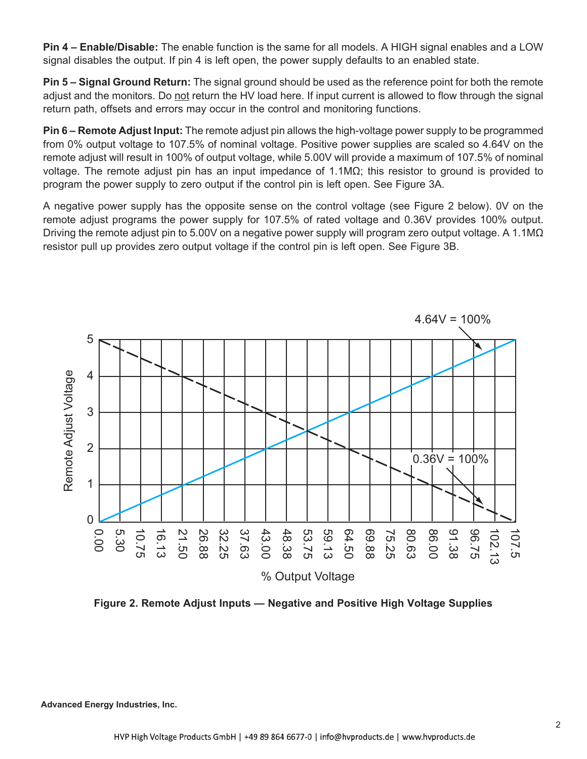**Pin 4 – Enable/Disable:** The enable function is the same for all models. A HIGH signal enables and a LOW signal disables the output. If pin 4 is left open, the power supply defaults to an enabled state.

**Pin 5 – Signal Ground Return:** The signal ground should be used as the reference point for both the remote adjust and the monitors. Do not return the HV load here. If input current is allowed to flow through the signal return path, offsets and errors may occur in the control and monitoring functions.

**Pin 6 – Remote Adjust Input:** The remote adjust pin allows the high-voltage power supply to be programmed from 0% output voltage to 107.5% of nominal voltage. Positive power supplies are scaled so 4.64V on the remote adjust will result in 100% of output voltage, while 5.00V will provide a maximum of 107.5% of nominal voltage. The remote adjust pin has an input impedance of 1.1MΩ; this resistor to ground is provided to program the power supply to zero output if the control pin is left open. See Figure 3A.

A negative power supply has the opposite sense on the control voltage (see Figure 2 below). 0V on the remote adjust programs the power supply for 107.5% of rated voltage and 0.36V provides 100% output. Driving the remote adjust pin to 5.00V on a negative power supply will program zero output voltage. A 1.1M $\Omega$ resistor pull up provides zero output voltage if the control pin is left open. See Figure 3B.



**Figure 2. Remote Adjust Inputs — Negative and Positive High Voltage Supplies**

**Advanced Energy Industries, Inc.**